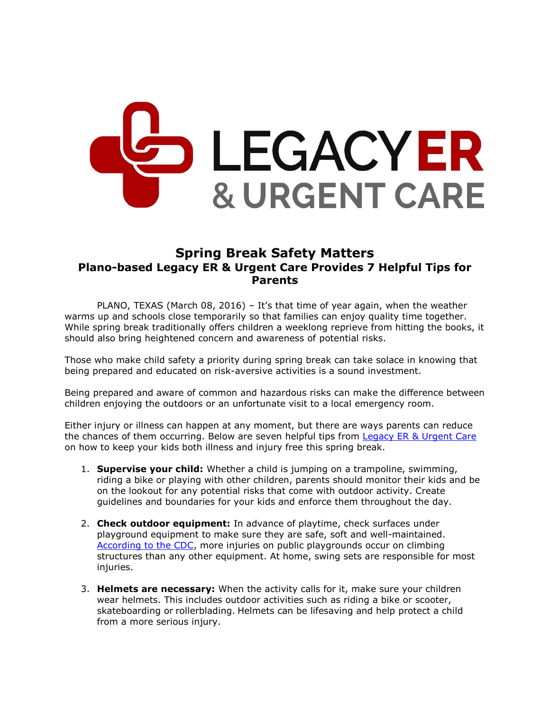## LEGACYER **& URGENT CARE**

## **Spring Break Safety Matters Plano-based Legacy ER & Urgent Care Provides 7 Helpful Tips for Parents**

PLANO, TEXAS (March 08, 2016) – It's that time of year again, when the weather warms up and schools close temporarily so that families can enjoy quality time together. While spring break traditionally offers children a weeklong reprieve from hitting the books, it should also bring heightened concern and awareness of potential risks.

Those who make child safety a priority during spring break can take solace in knowing that being prepared and educated on risk-aversive activities is a sound investment.

Being prepared and aware of common and hazardous risks can make the difference between children enjoying the outdoors or an unfortunate visit to a local emergency room.

Either injury or illness can happen at any moment, but there are ways parents can reduce the chances of them occurring. Below are seven helpful tips from [Legacy ER & Urgent Care](http://www.legacyer.com/) on how to keep your kids both illness and injury free this spring break.

- 1. **Supervise your child:** Whether a child is jumping on a trampoline, swimming, riding a bike or playing with other children, parents should monitor their kids and be on the lookout for any potential risks that come with outdoor activity. Create guidelines and boundaries for your kids and enforce them throughout the day.
- 2. **Check outdoor equipment:** In advance of playtime, check surfaces under playground equipment to make sure they are safe, soft and well-maintained. [According to the CDC,](http://www.cdc.gov/HomeandRecreationalSafety/Playground-Injuries/playgroundinjuries-factsheet.htm) more injuries on public playgrounds occur on climbing structures than any other equipment. At home, swing sets are responsible for most injuries.
- 3. **Helmets are necessary:** When the activity calls for it, make sure your children wear helmets. This includes outdoor activities such as riding a bike or scooter, skateboarding or rollerblading. Helmets can be lifesaving and help protect a child from a more serious injury.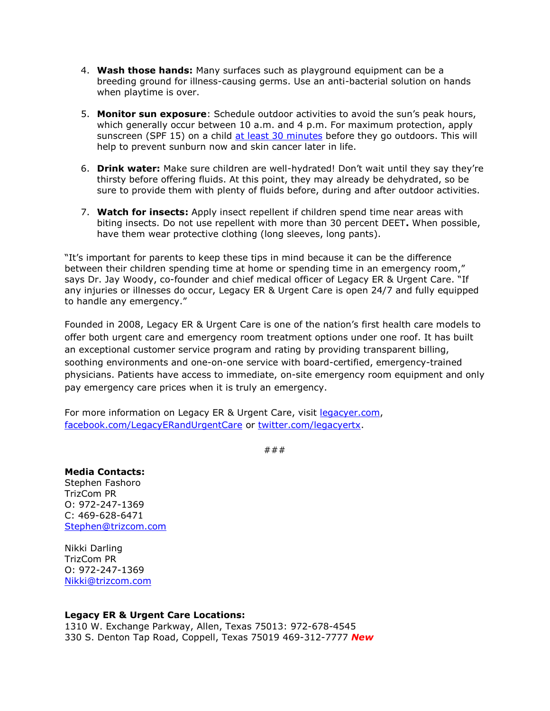- 4. **Wash those hands:** Many surfaces such as playground equipment can be a breeding ground for illness-causing germs. Use an anti-bacterial solution on hands when playtime is over.
- 5. **Monitor sun exposure**: Schedule outdoor activities to avoid the sun's peak hours, which generally occur between 10 a.m. and 4 p.m. For maximum protection, apply sunscreen (SPF 15) on a child [at least 30 minutes](http://www.cdc.gov/cancer/skin/basic_info/children.htm) before they go outdoors. This will help to prevent sunburn now and skin cancer later in life.
- 6. **Drink water:** Make sure children are well-hydrated! Don't wait until they say they're thirsty before offering fluids. At this point, they may already be dehydrated, so be sure to provide them with plenty of fluids before, during and after outdoor activities.
- 7. **Watch for insects:** Apply insect repellent if children spend time near areas with biting insects. Do not use repellent with more than 30 percent DEET**.** When possible, have them wear protective clothing (long sleeves, long pants).

"It's important for parents to keep these tips in mind because it can be the difference between their children spending time at home or spending time in an emergency room," says Dr. Jay Woody, co-founder and chief medical officer of Legacy ER & Urgent Care. "If any injuries or illnesses do occur, Legacy ER & Urgent Care is open 24/7 and fully equipped to handle any emergency."

Founded in 2008, Legacy ER & Urgent Care is one of the nation's first health care models to offer both urgent care and emergency room treatment options under one roof. It has built an exceptional customer service program and rating by providing transparent billing, soothing environments and one-on-one service with board-certified, emergency-trained physicians. Patients have access to immediate, on-site emergency room equipment and only pay emergency care prices when it is truly an emergency.

For more information on Legacy ER & Urgent Care, visit [legacyer.com,](http://www.legacyer.com/) [facebook.com/LegacyERandUrgentCare](file:///C:/Users/Account%20Executive%201/AppData/Local/Microsoft/Windows/INetCache/Content.Outlook/VMF19TQ4/facebook.com/LegacyERandUrgentCare) or [twitter.com/legacyertx.](https://twitter.com/legacyertx)

###

**Media Contacts:** Stephen Fashoro TrizCom PR O: 972-247-1369 C: 469-628-6471 [Stephen@trizcom.com](mailto:Stephen@trizcom.com)

Nikki Darling TrizCom PR O: 972-247-1369 [Nikki@trizcom.com](file:///C:/Users/Account%20Executive%201/AppData/Local/Microsoft/Windows/INetCache/Content.Outlook/VMF19TQ4/Nikki@trizcom.com)

## **Legacy ER & Urgent Care Locations:**

1310 W. Exchange Parkway, Allen, Texas 75013: 972-678-4545 330 S. Denton Tap Road, Coppell, Texas 75019 469-312-7777 *New*